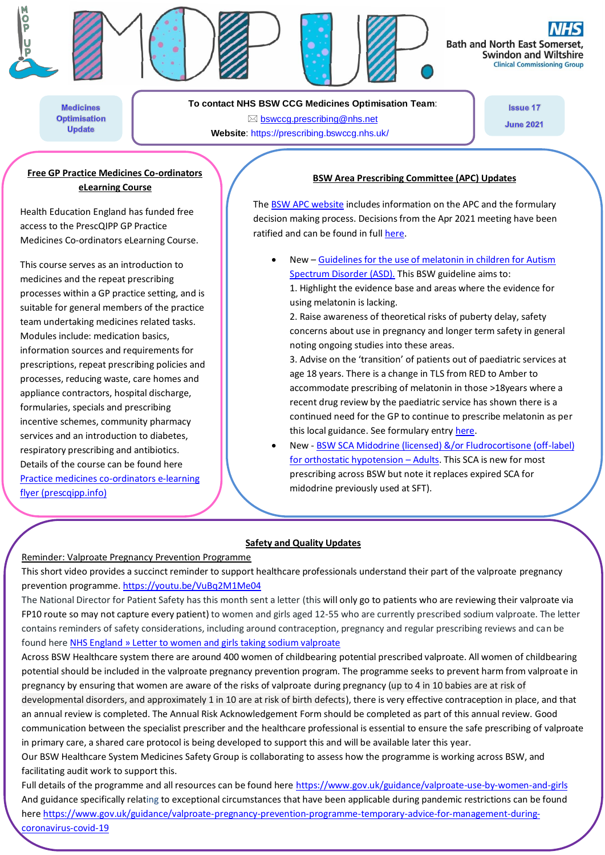







**Bath and North East Son Swindon and Wiltshire Clinical Commissioning Group** 

**Medicines Optimisation Update** 

**To contact NHS BSW CCG Medicines Optimisation Team**:

 [bswccg.prescribing@nhs.net](mailto:bswccg.prescribing@nhs.net) **Website**: [https://prescribing.bswccg.nhs.uk/](https://prescribing.wiltshireccg.nhs.uk/) **Issue 17** 

**June 2021** 

## **Free GP Practice Medicines Co-ordinators eLearning Course**

Health Education England has funded free access to the PrescQIPP GP Practice Medicines Co-ordinators eLearning Course.

This course serves as an introduction to medicines and the repeat prescribing processes within a GP practice setting, and is suitable for general members of the practice team undertaking medicines related tasks. Modules include: medication basics, information sources and requirements for prescriptions, repeat prescribing policies and processes, reducing waste, care homes and appliance contractors, hospital discharge, formularies, specials and prescribing incentive schemes, community pharmacy services and an introduction to diabetes, respiratory prescribing and antibiotics. Details of the course can be found here [Practice medicines co-ordinators e-learning](https://www.prescqipp.info/umbraco/surface/authorisedmediasurface/index?url=%2fmedia%2f4744%2fprescqipp_practice_medicines_coordinators_course_overview.pdf)  [flyer \(prescqipp.info\)](https://www.prescqipp.info/umbraco/surface/authorisedmediasurface/index?url=%2fmedia%2f4744%2fprescqipp_practice_medicines_coordinators_course_overview.pdf)

# **BSW Area Prescribing Committee (APC) Updates**

Th[e BSW APC website](https://prescribing.bswccg.nhs.uk/apc) includes information on the APC and the formulary decision making process. Decisions from the Apr 2021 meeting have been ratified and can be found in full [here.](https://prescribing.bswccg.nhs.uk/apc-recent-decisions)

- New [Guidelines for the use of melatonin in children for Autism](https://prescribing.bswccg.nhs.uk/?wpdmdl=8535)  [Spectrum Disorder \(ASD\).](https://prescribing.bswccg.nhs.uk/?wpdmdl=8535) This BSW guideline aims to:
	- 1. Highlight the evidence base and areas where the evidence for using melatonin is lacking.
	- 2. Raise awareness of theoretical risks of puberty delay, safety concerns about use in pregnancy and longer term safety in general noting ongoing studies into these areas.

3. Advise on the 'transition' of patients out of paediatric services at age 18 years. There is a change in TLS from RED to Amber to accommodate prescribing of melatonin in those >18years where a recent drug review by the paediatric service has shown there is a continued need for the GP to continue to prescribe melatonin as per this local guidance. See formulary entr[y here.](http://bswformulary.nhs.uk/chaptersSubDetails.asp?FormularySectionID=4&SubSectionRef=04.01.01&SubSectionID=A100&drugmatch=4865#4865)

 New - [BSW SCA Midodrine \(licensed\) &/or Fludrocortisone \(off-label\)](https://prescribing.bswccg.nhs.uk/?wpdmdl=8486&ind=1618215535438&UNLID=9217663012021427121427)  [for orthostatic hypotension](https://prescribing.bswccg.nhs.uk/?wpdmdl=8486&ind=1618215535438&UNLID=9217663012021427121427) - Adults</u>. This SCA is new for most prescribing across BSW but note it replaces expired SCA for midodrine previously used at SFT).

## **Safety and Quality Updates**

### Reminder: Valproate Pregnancy Prevention Programme

This short video provides a succinct reminder to support healthcare professionals understand their part of the valproate pregnancy prevention programme. <https://youtu.be/VuBq2M1Me04>

The National Director for Patient Safety has this month sent a letter (this will only go to patients who are reviewing their valproate via FP10 route so may not capture every patient) to women and girls aged 12-55 who are currently prescribed sodium valproate. The letter contains reminders of safety considerations, including around contraception, pregnancy and regular prescribing reviews and can be found here [NHS England » Letter to women and girls taking sodium valproate](https://www.england.nhs.uk/publication/letter-to-women-and-girls-taking-sodium-valproate/)

Across BSW Healthcare system there are around 400 women of childbearing potential prescribed valproate. All women of childbearing potential should be included in the valproate pregnancy prevention program. The programme seeks to prevent harm from valproate in pregnancy by ensuring that women are aware of the risks of valproate during pregnancy (up to 4 in 10 babies are at risk of developmental disorders, and approximately 1 in 10 are at risk of birth defects), there is very effective contraception in place, and that an annual review is completed. The Annual Risk Acknowledgement Form should be completed as part of this annual review. Good communication between the specialist prescriber and the healthcare professional is essential to ensure the safe prescribing of valproate in primary care, a shared care protocol is being developed to support this and will be available later this year.

Our BSW Healthcare System Medicines Safety Group is collaborating to assess how the programme is working across BSW, and facilitating audit work to support this.

Full details of the programme and all resources can be found here<https://www.gov.uk/guidance/valproate-use-by-women-and-girls> And guidance specifically relating to exceptional circumstances that have been applicable during pandemic restrictions can be found her[e https://www.gov.uk/guidance/valproate-pregnancy-prevention-programme-temporary-advice-for-management-during](https://www.gov.uk/guidance/valproate-pregnancy-prevention-programme-temporary-advice-for-management-during-coronavirus-covid-19)[coronavirus-covid-19](https://www.gov.uk/guidance/valproate-pregnancy-prevention-programme-temporary-advice-for-management-during-coronavirus-covid-19)